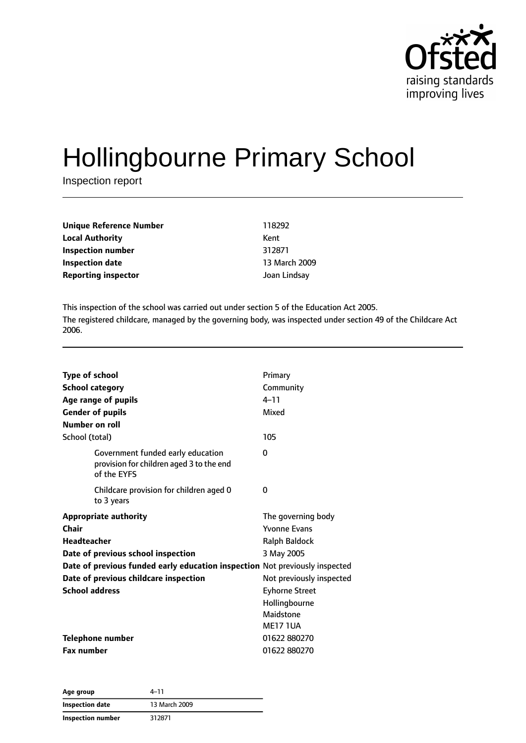

# Hollingbourne Primary School

Inspection report

| Unique Reference Number    | 118292        |
|----------------------------|---------------|
| <b>Local Authority</b>     | Kent          |
| Inspection number          | 312871        |
| <b>Inspection date</b>     | 13 March 2009 |
| <b>Reporting inspector</b> | Joan Lindsay  |

This inspection of the school was carried out under section 5 of the Education Act 2005. The registered childcare, managed by the governing body, was inspected under section 49 of the Childcare Act 2006.

| <b>Type of school</b><br><b>School category</b><br>Age range of pupils<br><b>Gender of pupils</b><br>Number on roll | Primary<br>Community<br>$4 - 11$<br>Mixed |
|---------------------------------------------------------------------------------------------------------------------|-------------------------------------------|
| School (total)                                                                                                      | 105                                       |
| Government funded early education<br>provision for children aged 3 to the end<br>of the EYFS                        | 0                                         |
| Childcare provision for children aged 0<br>to 3 years                                                               | 0                                         |
| <b>Appropriate authority</b>                                                                                        | The governing body                        |
| Chair                                                                                                               | <b>Yvonne Evans</b>                       |
| <b>Headteacher</b>                                                                                                  | <b>Ralph Baldock</b>                      |
| Date of previous school inspection                                                                                  | 3 May 2005                                |
| Date of previous funded early education inspection Not previously inspected                                         |                                           |
| Date of previous childcare inspection                                                                               | Not previously inspected                  |
| <b>School address</b>                                                                                               | <b>Eyhorne Street</b>                     |
|                                                                                                                     | Hollingbourne                             |
|                                                                                                                     | Maidstone                                 |
|                                                                                                                     | <b>ME17 1UA</b>                           |
| Telephone number                                                                                                    | 01622880270                               |
| <b>Fax number</b>                                                                                                   | 01622880270                               |

| Age group         | 4–11          |
|-------------------|---------------|
| Inspection date   | 13 March 2009 |
| Inspection number | 312871        |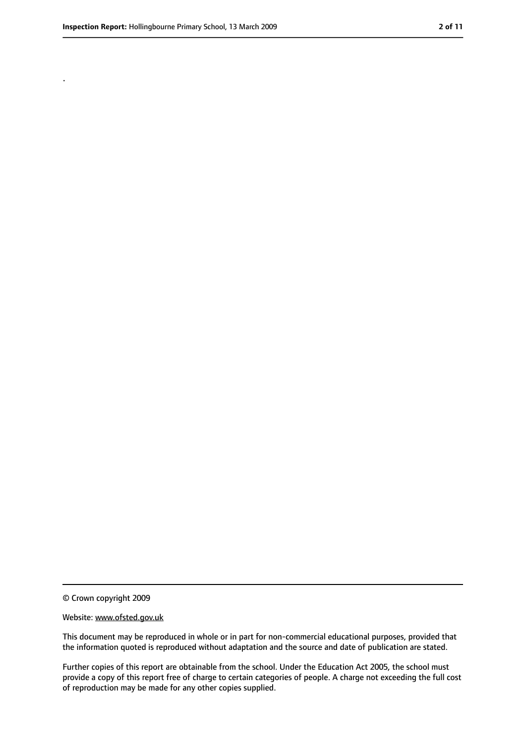.

<sup>©</sup> Crown copyright 2009

Website: www.ofsted.gov.uk

This document may be reproduced in whole or in part for non-commercial educational purposes, provided that the information quoted is reproduced without adaptation and the source and date of publication are stated.

Further copies of this report are obtainable from the school. Under the Education Act 2005, the school must provide a copy of this report free of charge to certain categories of people. A charge not exceeding the full cost of reproduction may be made for any other copies supplied.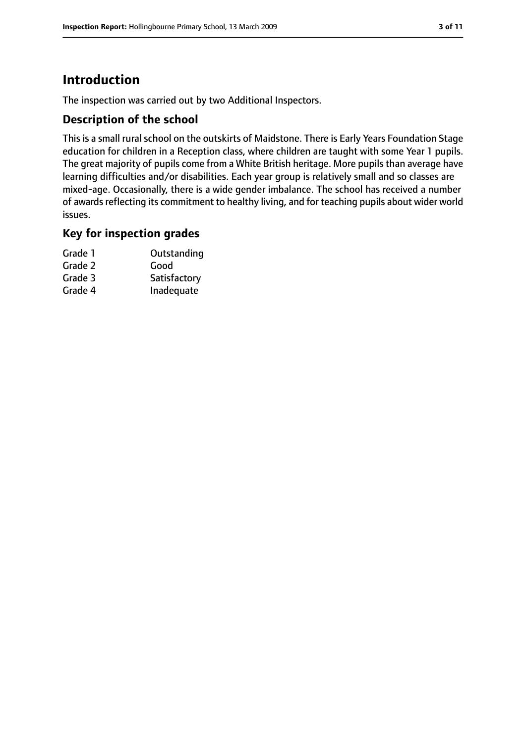# **Introduction**

The inspection was carried out by two Additional Inspectors.

#### **Description of the school**

This is a small rural school on the outskirts of Maidstone. There is Early Years Foundation Stage education for children in a Reception class, where children are taught with some Year 1 pupils. The great majority of pupils come from a White British heritage. More pupils than average have learning difficulties and/or disabilities. Each year group is relatively small and so classes are mixed-age. Occasionally, there is a wide gender imbalance. The school has received a number of awards reflecting its commitment to healthy living, and for teaching pupils about wider world issues.

#### **Key for inspection grades**

| Grade 1 | Outstanding  |
|---------|--------------|
| Grade 2 | Good         |
| Grade 3 | Satisfactory |
| Grade 4 | Inadequate   |
|         |              |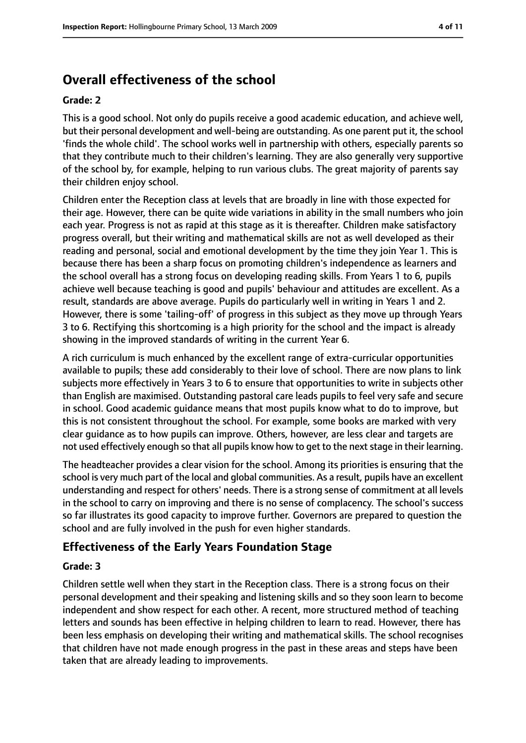# **Overall effectiveness of the school**

#### **Grade: 2**

This is a good school. Not only do pupils receive a good academic education, and achieve well, but their personal development and well-being are outstanding. As one parent put it, the school 'finds the whole child'. The school works well in partnership with others, especially parents so that they contribute much to their children's learning. They are also generally very supportive of the school by, for example, helping to run various clubs. The great majority of parents say their children enjoy school.

Children enter the Reception class at levels that are broadly in line with those expected for their age. However, there can be quite wide variations in ability in the small numbers who join each year. Progress is not as rapid at this stage as it is thereafter. Children make satisfactory progress overall, but their writing and mathematical skills are not as well developed as their reading and personal, social and emotional development by the time they join Year 1. This is because there has been a sharp focus on promoting children's independence as learners and the school overall has a strong focus on developing reading skills. From Years 1 to 6, pupils achieve well because teaching is good and pupils' behaviour and attitudes are excellent. As a result, standards are above average. Pupils do particularly well in writing in Years 1 and 2. However, there is some 'tailing-off' of progress in this subject as they move up through Years 3 to 6. Rectifying this shortcoming is a high priority for the school and the impact is already showing in the improved standards of writing in the current Year 6.

A rich curriculum is much enhanced by the excellent range of extra-curricular opportunities available to pupils; these add considerably to their love of school. There are now plans to link subjects more effectively in Years 3 to 6 to ensure that opportunities to write in subjects other than English are maximised. Outstanding pastoral care leads pupils to feel very safe and secure in school. Good academic guidance means that most pupils know what to do to improve, but this is not consistent throughout the school. For example, some books are marked with very clear guidance as to how pupils can improve. Others, however, are less clear and targets are not used effectively enough so that all pupils know how to get to the next stage in their learning.

The headteacher provides a clear vision for the school. Among its priorities is ensuring that the school is very much part of the local and global communities. As a result, pupils have an excellent understanding and respect for others' needs. There is a strong sense of commitment at all levels in the school to carry on improving and there is no sense of complacency. The school's success so far illustrates its good capacity to improve further. Governors are prepared to question the school and are fully involved in the push for even higher standards.

#### **Effectiveness of the Early Years Foundation Stage**

#### **Grade: 3**

Children settle well when they start in the Reception class. There is a strong focus on their personal development and their speaking and listening skills and so they soon learn to become independent and show respect for each other. A recent, more structured method of teaching letters and sounds has been effective in helping children to learn to read. However, there has been less emphasis on developing their writing and mathematical skills. The school recognises that children have not made enough progress in the past in these areas and steps have been taken that are already leading to improvements.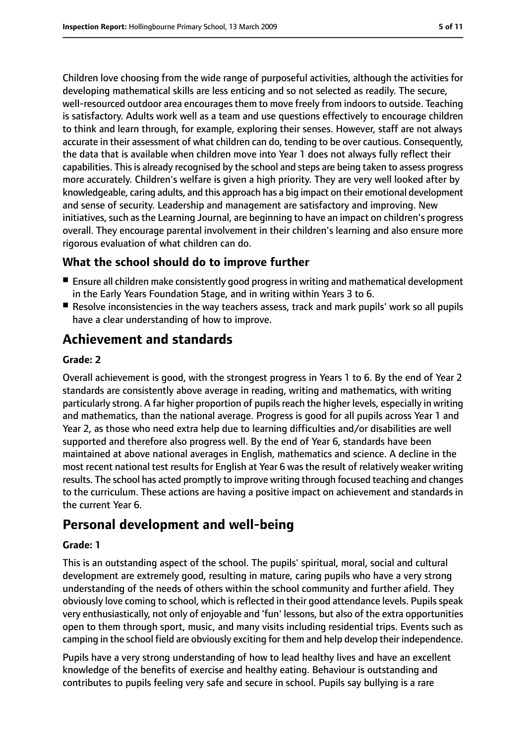Children love choosing from the wide range of purposeful activities, although the activities for developing mathematical skills are less enticing and so not selected as readily. The secure, well-resourced outdoor area encourages them to move freely from indoors to outside. Teaching is satisfactory. Adults work well as a team and use questions effectively to encourage children to think and learn through, for example, exploring their senses. However, staff are not always accurate in their assessment of what children can do, tending to be over cautious. Consequently, the data that is available when children move into Year 1 does not always fully reflect their capabilities. This is already recognised by the school and steps are being taken to assess progress more accurately. Children's welfare is given a high priority. They are very well looked after by knowledgeable, caring adults, and this approach has a big impact on their emotional development and sense of security. Leadership and management are satisfactory and improving. New initiatives, such as the Learning Journal, are beginning to have an impact on children's progress overall. They encourage parental involvement in their children's learning and also ensure more rigorous evaluation of what children can do.

#### **What the school should do to improve further**

- Ensure all children make consistently good progress in writing and mathematical development in the Early Years Foundation Stage, and in writing within Years 3 to 6.
- Resolve inconsistencies in the way teachers assess, track and mark pupils' work so all pupils have a clear understanding of how to improve.

# **Achievement and standards**

#### **Grade: 2**

Overall achievement is good, with the strongest progress in Years 1 to 6. By the end of Year 2 standards are consistently above average in reading, writing and mathematics, with writing particularly strong. A far higher proportion of pupils reach the higher levels, especially in writing and mathematics, than the national average. Progress is good for all pupils across Year 1 and Year 2, as those who need extra help due to learning difficulties and/or disabilities are well supported and therefore also progress well. By the end of Year 6, standards have been maintained at above national averages in English, mathematics and science. A decline in the most recent national test results for English at Year 6 was the result of relatively weaker writing results. The school has acted promptly to improve writing through focused teaching and changes to the curriculum. These actions are having a positive impact on achievement and standards in the current Year 6.

## **Personal development and well-being**

#### **Grade: 1**

This is an outstanding aspect of the school. The pupils' spiritual, moral, social and cultural development are extremely good, resulting in mature, caring pupils who have a very strong understanding of the needs of others within the school community and further afield. They obviously love coming to school, which is reflected in their good attendance levels. Pupils speak very enthusiastically, not only of enjoyable and 'fun' lessons, but also of the extra opportunities open to them through sport, music, and many visits including residential trips. Events such as camping in the school field are obviously exciting for them and help develop their independence.

Pupils have a very strong understanding of how to lead healthy lives and have an excellent knowledge of the benefits of exercise and healthy eating. Behaviour is outstanding and contributes to pupils feeling very safe and secure in school. Pupils say bullying is a rare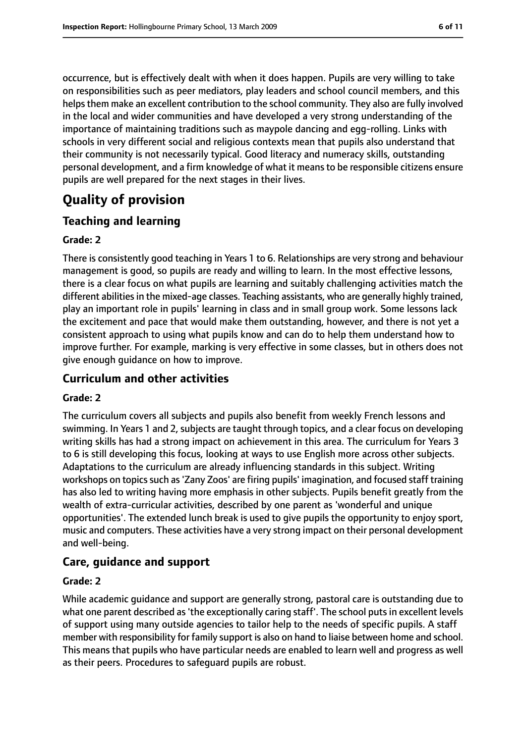occurrence, but is effectively dealt with when it does happen. Pupils are very willing to take on responsibilities such as peer mediators, play leaders and school council members, and this helps them make an excellent contribution to the school community. They also are fully involved in the local and wider communities and have developed a very strong understanding of the importance of maintaining traditions such as maypole dancing and egg-rolling. Links with schools in very different social and religious contexts mean that pupils also understand that their community is not necessarily typical. Good literacy and numeracy skills, outstanding personal development, and a firm knowledge of what it meansto be responsible citizens ensure pupils are well prepared for the next stages in their lives.

# **Quality of provision**

### **Teaching and learning**

#### **Grade: 2**

There is consistently good teaching in Years 1 to 6. Relationships are very strong and behaviour management is good, so pupils are ready and willing to learn. In the most effective lessons, there is a clear focus on what pupils are learning and suitably challenging activities match the different abilities in the mixed-age classes. Teaching assistants, who are generally highly trained, play an important role in pupils' learning in class and in small group work. Some lessons lack the excitement and pace that would make them outstanding, however, and there is not yet a consistent approach to using what pupils know and can do to help them understand how to improve further. For example, marking is very effective in some classes, but in others does not give enough guidance on how to improve.

#### **Curriculum and other activities**

#### **Grade: 2**

The curriculum covers all subjects and pupils also benefit from weekly French lessons and swimming. In Years 1 and 2, subjects are taught through topics, and a clear focus on developing writing skills has had a strong impact on achievement in this area. The curriculum for Years 3 to 6 is still developing this focus, looking at ways to use English more across other subjects. Adaptations to the curriculum are already influencing standards in this subject. Writing workshops on topicssuch as'Zany Zoos' are firing pupils' imagination, and focused staff training has also led to writing having more emphasis in other subjects. Pupils benefit greatly from the wealth of extra-curricular activities, described by one parent as 'wonderful and unique opportunities'. The extended lunch break is used to give pupils the opportunity to enjoy sport, music and computers. These activities have a very strong impact on their personal development and well-being.

#### **Care, guidance and support**

#### **Grade: 2**

While academic guidance and support are generally strong, pastoral care is outstanding due to what one parent described as 'the exceptionally caring staff'. The school puts in excellent levels of support using many outside agencies to tailor help to the needs of specific pupils. A staff member with responsibility for family support is also on hand to liaise between home and school. This means that pupils who have particular needs are enabled to learn well and progress as well as their peers. Procedures to safeguard pupils are robust.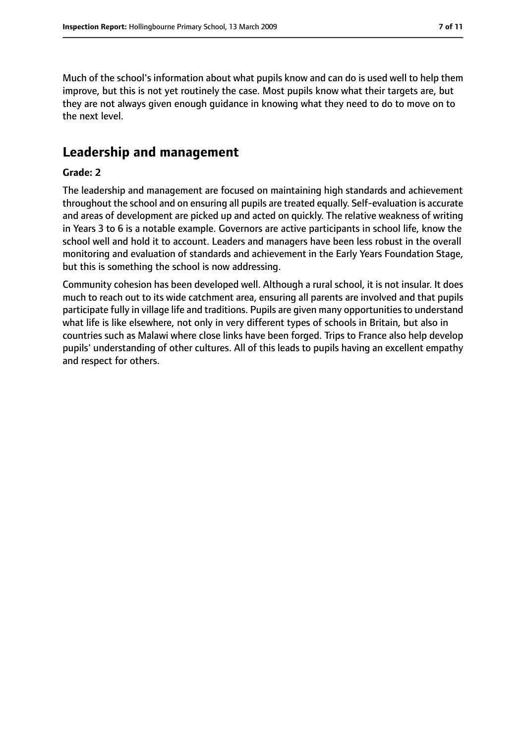Much of the school's information about what pupils know and can do is used well to help them improve, but this is not yet routinely the case. Most pupils know what their targets are, but they are not always given enough guidance in knowing what they need to do to move on to the next level.

### **Leadership and management**

#### **Grade: 2**

The leadership and management are focused on maintaining high standards and achievement throughout the school and on ensuring all pupils are treated equally. Self-evaluation is accurate and areas of development are picked up and acted on quickly. The relative weakness of writing in Years 3 to 6 is a notable example. Governors are active participants in school life, know the school well and hold it to account. Leaders and managers have been less robust in the overall monitoring and evaluation of standards and achievement in the Early Years Foundation Stage, but this is something the school is now addressing.

Community cohesion has been developed well. Although a rural school, it is not insular. It does much to reach out to its wide catchment area, ensuring all parents are involved and that pupils participate fully in village life and traditions. Pupils are given many opportunities to understand what life is like elsewhere, not only in very different types of schools in Britain, but also in countries such as Malawi where close links have been forged. Trips to France also help develop pupils' understanding of other cultures. All of this leads to pupils having an excellent empathy and respect for others.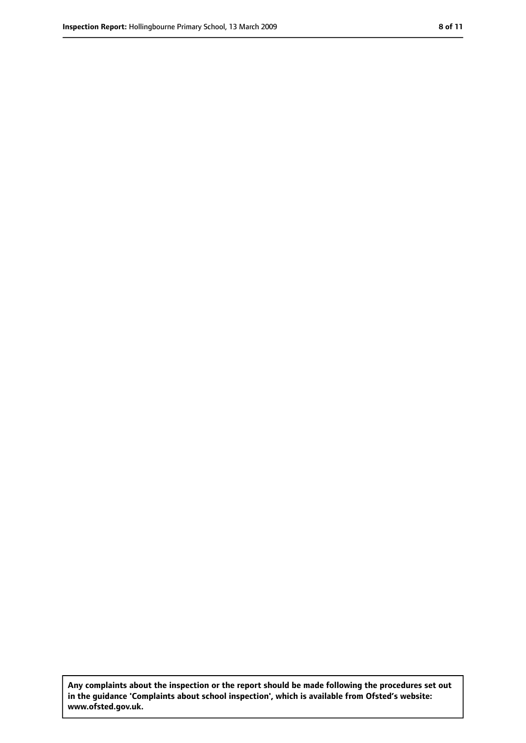**Any complaints about the inspection or the report should be made following the procedures set out in the guidance 'Complaints about school inspection', which is available from Ofsted's website: www.ofsted.gov.uk.**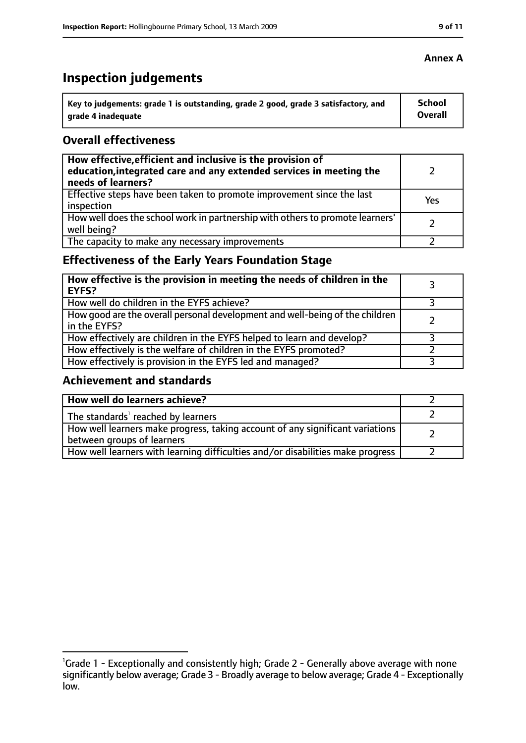# **Inspection judgements**

| $^{\cdot}$ Key to judgements: grade 1 is outstanding, grade 2 good, grade 3 satisfactory, and | School         |
|-----------------------------------------------------------------------------------------------|----------------|
| arade 4 inadequate                                                                            | <b>Overall</b> |

#### **Overall effectiveness**

| How effective, efficient and inclusive is the provision of<br>education, integrated care and any extended services in meeting the<br>needs of learners? |     |
|---------------------------------------------------------------------------------------------------------------------------------------------------------|-----|
| Effective steps have been taken to promote improvement since the last<br>inspection                                                                     | Yes |
| How well does the school work in partnership with others to promote learners'<br>well being?                                                            |     |
| The capacity to make any necessary improvements                                                                                                         |     |

### **Effectiveness of the Early Years Foundation Stage**

| How effective is the provision in meeting the needs of children in the<br><b>EYFS?</b>       |  |
|----------------------------------------------------------------------------------------------|--|
| How well do children in the EYFS achieve?                                                    |  |
| How good are the overall personal development and well-being of the children<br>in the EYFS? |  |
| How effectively are children in the EYFS helped to learn and develop?                        |  |
| How effectively is the welfare of children in the EYFS promoted?                             |  |
| How effectively is provision in the EYFS led and managed?                                    |  |

#### **Achievement and standards**

| How well do learners achieve?                                                                               |  |
|-------------------------------------------------------------------------------------------------------------|--|
| The standards <sup>1</sup> reached by learners                                                              |  |
| How well learners make progress, taking account of any significant variations<br>between groups of learners |  |
| How well learners with learning difficulties and/or disabilities make progress                              |  |

#### **Annex A**

<sup>&</sup>lt;sup>1</sup>Grade 1 - Exceptionally and consistently high; Grade 2 - Generally above average with none significantly below average; Grade 3 - Broadly average to below average; Grade 4 - Exceptionally low.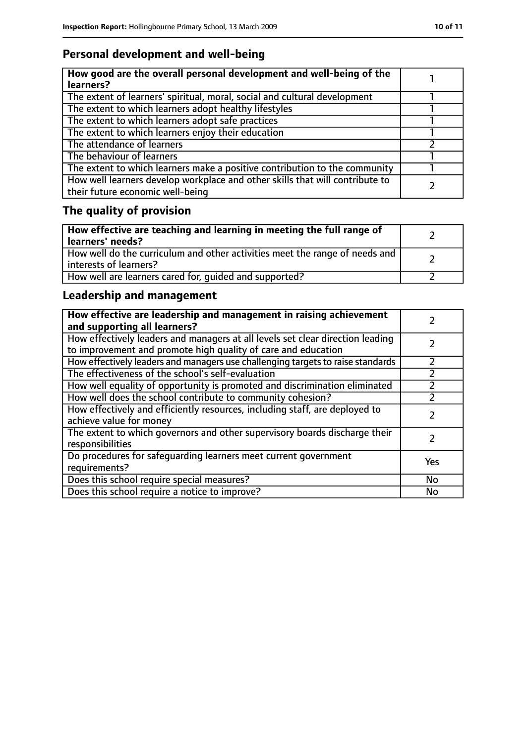### **Personal development and well-being**

| How good are the overall personal development and well-being of the<br>learners?                                 |  |
|------------------------------------------------------------------------------------------------------------------|--|
| The extent of learners' spiritual, moral, social and cultural development                                        |  |
| The extent to which learners adopt healthy lifestyles                                                            |  |
| The extent to which learners adopt safe practices                                                                |  |
| The extent to which learners enjoy their education                                                               |  |
| The attendance of learners                                                                                       |  |
| The behaviour of learners                                                                                        |  |
| The extent to which learners make a positive contribution to the community                                       |  |
| How well learners develop workplace and other skills that will contribute to<br>their future economic well-being |  |

# **The quality of provision**

| How effective are teaching and learning in meeting the full range of<br>learners' needs?              |  |
|-------------------------------------------------------------------------------------------------------|--|
| How well do the curriculum and other activities meet the range of needs and<br>interests of learners? |  |
| How well are learners cared for, quided and supported?                                                |  |

### **Leadership and management**

| How effective are leadership and management in raising achievement<br>and supporting all learners?                                              |     |
|-------------------------------------------------------------------------------------------------------------------------------------------------|-----|
| How effectively leaders and managers at all levels set clear direction leading<br>to improvement and promote high quality of care and education |     |
| How effectively leaders and managers use challenging targets to raise standards                                                                 |     |
| The effectiveness of the school's self-evaluation                                                                                               |     |
| How well equality of opportunity is promoted and discrimination eliminated                                                                      |     |
| How well does the school contribute to community cohesion?                                                                                      |     |
| How effectively and efficiently resources, including staff, are deployed to<br>achieve value for money                                          |     |
| The extent to which governors and other supervisory boards discharge their<br>responsibilities                                                  |     |
| Do procedures for safeguarding learners meet current government<br>requirements?                                                                | Yes |
| Does this school require special measures?                                                                                                      | No  |
| Does this school require a notice to improve?                                                                                                   | No  |